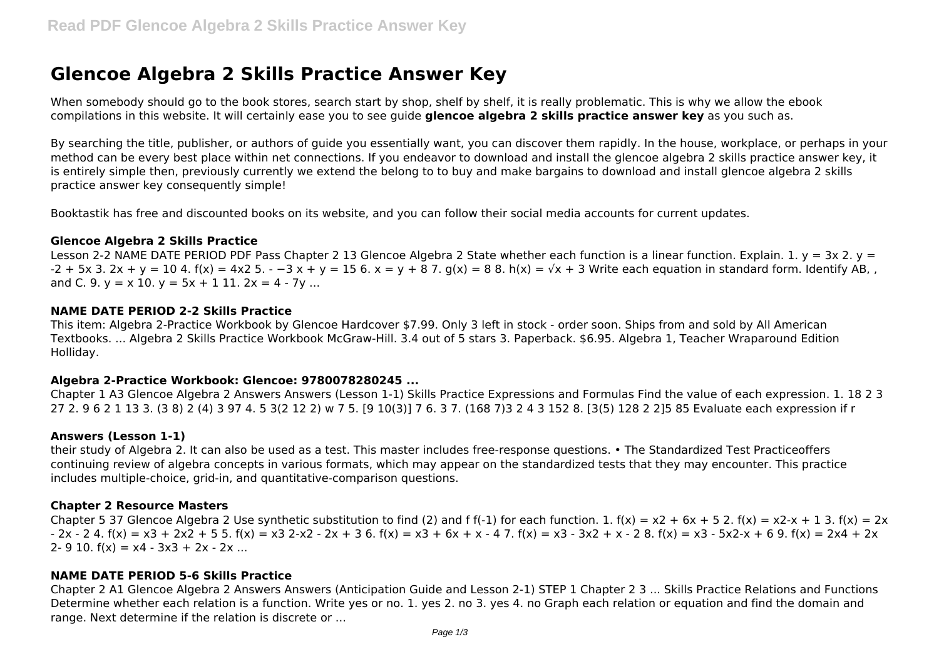# **Glencoe Algebra 2 Skills Practice Answer Key**

When somebody should go to the book stores, search start by shop, shelf by shelf, it is really problematic. This is why we allow the ebook compilations in this website. It will certainly ease you to see guide **glencoe algebra 2 skills practice answer key** as you such as.

By searching the title, publisher, or authors of guide you essentially want, you can discover them rapidly. In the house, workplace, or perhaps in your method can be every best place within net connections. If you endeavor to download and install the glencoe algebra 2 skills practice answer key, it is entirely simple then, previously currently we extend the belong to to buy and make bargains to download and install glencoe algebra 2 skills practice answer key consequently simple!

Booktastik has free and discounted books on its website, and you can follow their social media accounts for current updates.

## **Glencoe Algebra 2 Skills Practice**

Lesson 2-2 NAME DATE PERIOD PDF Pass Chapter 2 13 Glencoe Algebra 2 State whether each function is a linear function. Explain. 1.  $y = 3x$  2.  $y =$  $-2 + 5x$  3.  $2x + y = 10$  4.  $f(x) = 4x$  5.  $-3x + y = 15$  6.  $x = y + 8$  7.  $g(x) = 8$  8.  $h(x) = \sqrt{x} + 3$  Write each equation in standard form. Identify AB, and C. 9.  $v = x 10$ .  $v = 5x + 111$ .  $2x = 4 - 7v$  ...

## **NAME DATE PERIOD 2-2 Skills Practice**

This item: Algebra 2-Practice Workbook by Glencoe Hardcover \$7.99. Only 3 left in stock - order soon. Ships from and sold by All American Textbooks. ... Algebra 2 Skills Practice Workbook McGraw-Hill. 3.4 out of 5 stars 3. Paperback. \$6.95. Algebra 1, Teacher Wraparound Edition Holliday.

# **Algebra 2-Practice Workbook: Glencoe: 9780078280245 ...**

Chapter 1 A3 Glencoe Algebra 2 Answers Answers (Lesson 1-1) Skills Practice Expressions and Formulas Find the value of each expression. 1. 18 2 3 27 2. 9 6 2 1 13 3. (3 8) 2 (4) 3 97 4. 5 3(2 12 2) w 7 5. [9 10(3)] 7 6. 3 7. (168 7)3 2 4 3 152 8. [3(5) 128 2 2]5 85 Evaluate each expression if r

# **Answers (Lesson 1-1)**

their study of Algebra 2. It can also be used as a test. This master includes free-response questions. • The Standardized Test Practiceoffers continuing review of algebra concepts in various formats, which may appear on the standardized tests that they may encounter. This practice includes multiple-choice, grid-in, and quantitative-comparison questions.

# **Chapter 2 Resource Masters**

Chapter 5 37 Glencoe Algebra 2 Use synthetic substitution to find (2) and f f(-1) for each function. 1.  $f(x) = x^2 + 6x + 5$  2.  $f(x) = x^2 - x + 1$  3.  $f(x) = 2x$  $- 2x - 24$ ,  $f(x) = x^3 + 2x^2 + 55$ ,  $f(x) = x^3 - 2x + 36$ ,  $f(x) = x^3 + 6x + x - 47$ ,  $f(x) = x^3 - 3x^2 + x - 28$ ,  $f(x) = x^3 - 5x^2 - x + 69$ ,  $f(x) = 2x^4 + 2x$ 2- 9 10.  $f(x) = x4 - 3x3 + 2x - 2x$  ...

# **NAME DATE PERIOD 5-6 Skills Practice**

Chapter 2 A1 Glencoe Algebra 2 Answers Answers (Anticipation Guide and Lesson 2-1) STEP 1 Chapter 2 3 ... Skills Practice Relations and Functions Determine whether each relation is a function. Write yes or no. 1. yes 2. no 3. yes 4. no Graph each relation or equation and find the domain and range. Next determine if the relation is discrete or ...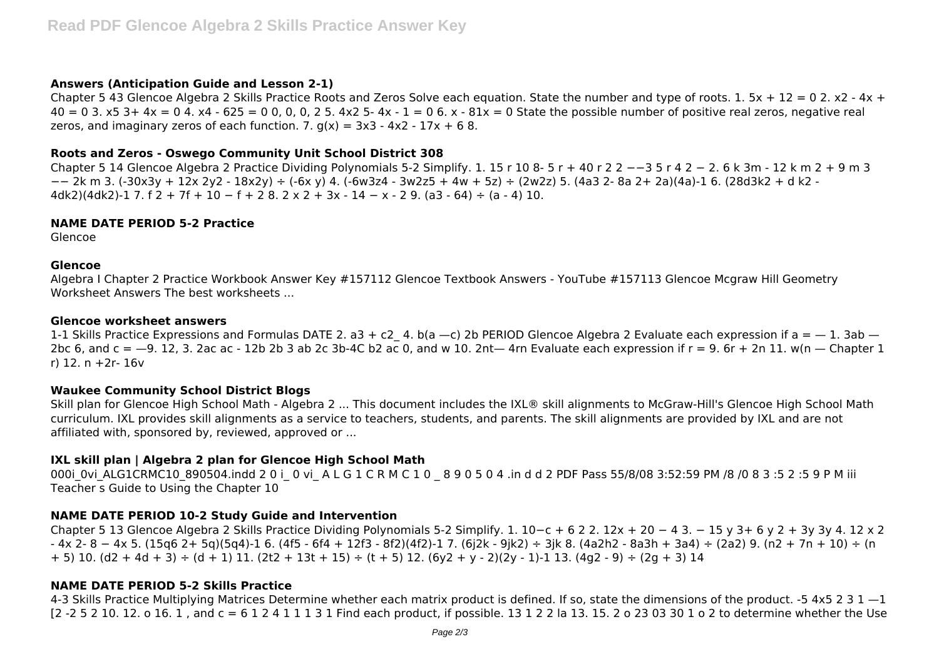# **Answers (Anticipation Guide and Lesson 2-1)**

Chapter 5 43 Glencoe Algebra 2 Skills Practice Roots and Zeros Solve each equation. State the number and type of roots. 1.  $5x + 12 = 0$  2.  $x2 - 4x +$  $40 = 0$  3. x5 3 + 4x = 0 4. x4 - 625 = 0 0, 0, 0, 2 5. 4x2 5- 4x - 1 = 0 6. x - 81x = 0 State the possible number of positive real zeros, negative real zeros, and imaginary zeros of each function. 7.  $g(x) = 3x^3 - 4x^2 - 17x + 68$ .

## **Roots and Zeros - Oswego Community Unit School District 308**

Chapter 5 14 Glencoe Algebra 2 Practice Dividing Polynomials 5-2 Simplify. 1. 15 r 10 8- 5 r + 40 r 2 2 −−3 5 r 4 2 − 2. 6 k 3m - 12 k m 2 + 9 m 3 −− 2k m 3. (-30x3y + 12x 2y2 - 18x2y) ÷ (-6x y) 4. (-6w3z4 - 3w2z5 + 4w + 5z) ÷ (2w2z) 5. (4a3 2- 8a 2+ 2a)(4a)-1 6. (28d3k2 + d k2 - 4dk2)(4dk2)-1 7. f 2 + 7f + 10 - f + 2 8. 2 x 2 + 3x - 14 - x - 2 9. (a3 - 64) ÷ (a - 4) 10.

## **NAME DATE PERIOD 5-2 Practice**

Glencoe

#### **Glencoe**

Algebra I Chapter 2 Practice Workbook Answer Key #157112 Glencoe Textbook Answers - YouTube #157113 Glencoe Mcgraw Hill Geometry Worksheet Answers The best worksheets ...

#### **Glencoe worksheet answers**

1-1 Skills Practice Expressions and Formulas DATE 2, a3 + c2 4, b(a - c) 2b PERIOD Glencoe Algebra 2 Evaluate each expression if a =  $-$  1. 3ab  $-$ 2bc 6, and  $c = -9$ , 12, 3, 2ac ac - 12b 2b 3 ab 2c 3b-4C b2 ac 0, and w 10, 2nt— 4rn Evaluate each expression if  $r = 9$ , 6r + 2n 11, w(n — Chapter 1 r) 12. n +2r- 16v

## **Waukee Community School District Blogs**

Skill plan for Glencoe High School Math - Algebra 2 ... This document includes the IXL® skill alignments to McGraw-Hill's Glencoe High School Math curriculum. IXL provides skill alignments as a service to teachers, students, and parents. The skill alignments are provided by IXL and are not affiliated with, sponsored by, reviewed, approved or ...

# **IXL skill plan | Algebra 2 plan for Glencoe High School Math**

000i 0vi ALG1CRMC10 890504.indd 2 0 i 0 vi A L G 1 C R M C 1 0 8 9 0 5 0 4 .in d d 2 PDF Pass 55/8/08 3:52:59 PM /8 /0 8 3 :5 2 :5 9 P M iii Teacher s Guide to Using the Chapter 10

# **NAME DATE PERIOD 10-2 Study Guide and Intervention**

Chapter 5 13 Glencoe Algebra 2 Skills Practice Dividing Polynomials 5-2 Simplify. 1. 10−c + 6 2 2. 12x + 20 − 4 3. − 15 y 3+ 6 y 2 + 3y 3y 4. 12 x 2 - 4x 2- 8 − 4x 5. (15q6 2+ 5q)(5q4)-1 6. (4f5 - 6f4 + 12f3 - 8f2)(4f2)-1 7. (6j2k - 9jk2) ÷ 3jk 8. (4a2h2 - 8a3h + 3a4) ÷ (2a2) 9. (n2 + 7n + 10) ÷ (n  $+ 5)$  10. (d2 + 4d + 3)  $\div$  (d + 1) 11. (2t2 + 13t + 15)  $\div$  (t + 5) 12. (6y2 + y - 2)(2y - 1)-1 13. (4g2 - 9)  $\div$  (2g + 3) 14

# **NAME DATE PERIOD 5-2 Skills Practice**

4-3 Skills Practice Multiplying Matrices Determine whether each matrix product is defined. If so, state the dimensions of the product. -5 4x5 2 3 1 -1 [2 -2 5 2 10. 12. o 16. 1, and c = 6 1 2 4 1 1 1 3 1 Find each product, if possible. 13 1 2 2 la 13. 15. 2 o 23 03 30 1 o 2 to determine whether the Use